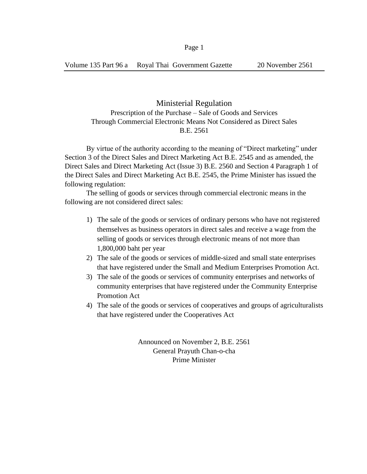## Ministerial Regulation

## Prescription of the Purchase – Sale of Goods and Services Through Commercial Electronic Means Not Considered as Direct Sales B.E. 2561

By virtue of the authority according to the meaning of "Direct marketing" under Section 3 of the Direct Sales and Direct Marketing Act B.E. 2545 and as amended, the Direct Sales and Direct Marketing Act (Issue 3) B.E. 2560 and Section 4 Paragraph 1 of the Direct Sales and Direct Marketing Act B.E. 2545, the Prime Minister has issued the following regulation:

The selling of goods or services through commercial electronic means in the following are not considered direct sales:

- 1) The sale of the goods or services of ordinary persons who have not registered themselves as business operators in direct sales and receive a wage from the selling of goods or services through electronic means of not more than 1,800,000 baht per year
- 2) The sale of the goods or services of middle-sized and small state enterprises that have registered under the Small and Medium Enterprises Promotion Act.
- 3) The sale of the goods or services of community enterprises and networks of community enterprises that have registered under the Community Enterprise Promotion Act
- 4) The sale of the goods or services of cooperatives and groups of agriculturalists that have registered under the Cooperatives Act

Announced on November 2, B.E. 2561 General Prayuth Chan-o-cha Prime Minister